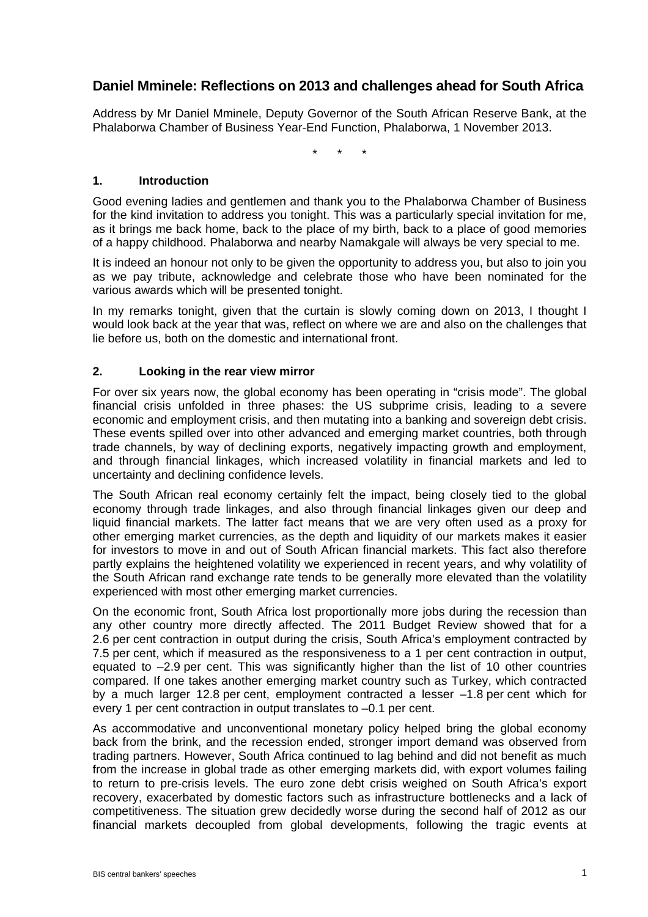# **Daniel Mminele: Reflections on 2013 and challenges ahead for South Africa**

Address by Mr Daniel Mminele, Deputy Governor of the South African Reserve Bank, at the Phalaborwa Chamber of Business Year-End Function, Phalaborwa, 1 November 2013.

\* \* \*

#### **1. Introduction**

Good evening ladies and gentlemen and thank you to the Phalaborwa Chamber of Business for the kind invitation to address you tonight. This was a particularly special invitation for me, as it brings me back home, back to the place of my birth, back to a place of good memories of a happy childhood. Phalaborwa and nearby Namakgale will always be very special to me.

It is indeed an honour not only to be given the opportunity to address you, but also to join you as we pay tribute, acknowledge and celebrate those who have been nominated for the various awards which will be presented tonight.

In my remarks tonight, given that the curtain is slowly coming down on 2013, I thought I would look back at the year that was, reflect on where we are and also on the challenges that lie before us, both on the domestic and international front.

#### **2. Looking in the rear view mirror**

For over six years now, the global economy has been operating in "crisis mode". The global financial crisis unfolded in three phases: the US subprime crisis, leading to a severe economic and employment crisis, and then mutating into a banking and sovereign debt crisis. These events spilled over into other advanced and emerging market countries, both through trade channels, by way of declining exports, negatively impacting growth and employment, and through financial linkages, which increased volatility in financial markets and led to uncertainty and declining confidence levels.

The South African real economy certainly felt the impact, being closely tied to the global economy through trade linkages, and also through financial linkages given our deep and liquid financial markets. The latter fact means that we are very often used as a proxy for other emerging market currencies, as the depth and liquidity of our markets makes it easier for investors to move in and out of South African financial markets. This fact also therefore partly explains the heightened volatility we experienced in recent years, and why volatility of the South African rand exchange rate tends to be generally more elevated than the volatility experienced with most other emerging market currencies.

On the economic front, South Africa lost proportionally more jobs during the recession than any other country more directly affected. The 2011 Budget Review showed that for a 2.6 per cent contraction in output during the crisis, South Africa's employment contracted by 7.5 per cent, which if measured as the responsiveness to a 1 per cent contraction in output, equated to –2.9 per cent. This was significantly higher than the list of 10 other countries compared. If one takes another emerging market country such as Turkey, which contracted by a much larger 12.8 per cent, employment contracted a lesser –1.8 per cent which for every 1 per cent contraction in output translates to –0.1 per cent.

As accommodative and unconventional monetary policy helped bring the global economy back from the brink, and the recession ended, stronger import demand was observed from trading partners. However, South Africa continued to lag behind and did not benefit as much from the increase in global trade as other emerging markets did, with export volumes failing to return to pre-crisis levels. The euro zone debt crisis weighed on South Africa's export recovery, exacerbated by domestic factors such as infrastructure bottlenecks and a lack of competitiveness. The situation grew decidedly worse during the second half of 2012 as our financial markets decoupled from global developments, following the tragic events at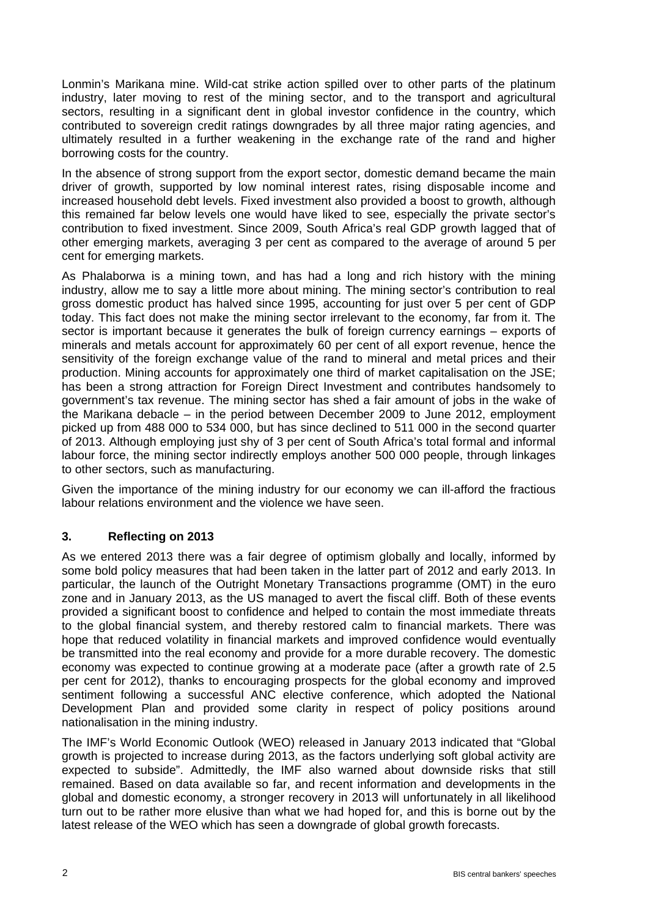Lonmin's Marikana mine. Wild-cat strike action spilled over to other parts of the platinum industry, later moving to rest of the mining sector, and to the transport and agricultural sectors, resulting in a significant dent in global investor confidence in the country, which contributed to sovereign credit ratings downgrades by all three major rating agencies, and ultimately resulted in a further weakening in the exchange rate of the rand and higher borrowing costs for the country.

In the absence of strong support from the export sector, domestic demand became the main driver of growth, supported by low nominal interest rates, rising disposable income and increased household debt levels. Fixed investment also provided a boost to growth, although this remained far below levels one would have liked to see, especially the private sector's contribution to fixed investment. Since 2009, South Africa's real GDP growth lagged that of other emerging markets, averaging 3 per cent as compared to the average of around 5 per cent for emerging markets.

As Phalaborwa is a mining town, and has had a long and rich history with the mining industry, allow me to say a little more about mining. The mining sector's contribution to real gross domestic product has halved since 1995, accounting for just over 5 per cent of GDP today. This fact does not make the mining sector irrelevant to the economy, far from it. The sector is important because it generates the bulk of foreign currency earnings – exports of minerals and metals account for approximately 60 per cent of all export revenue, hence the sensitivity of the foreign exchange value of the rand to mineral and metal prices and their production. Mining accounts for approximately one third of market capitalisation on the JSE; has been a strong attraction for Foreign Direct Investment and contributes handsomely to government's tax revenue. The mining sector has shed a fair amount of jobs in the wake of the Marikana debacle – in the period between December 2009 to June 2012, employment picked up from 488 000 to 534 000, but has since declined to 511 000 in the second quarter of 2013. Although employing just shy of 3 per cent of South Africa's total formal and informal labour force, the mining sector indirectly employs another 500 000 people, through linkages to other sectors, such as manufacturing.

Given the importance of the mining industry for our economy we can ill-afford the fractious labour relations environment and the violence we have seen.

## **3. Reflecting on 2013**

As we entered 2013 there was a fair degree of optimism globally and locally, informed by some bold policy measures that had been taken in the latter part of 2012 and early 2013. In particular, the launch of the Outright Monetary Transactions programme (OMT) in the euro zone and in January 2013, as the US managed to avert the fiscal cliff. Both of these events provided a significant boost to confidence and helped to contain the most immediate threats to the global financial system, and thereby restored calm to financial markets. There was hope that reduced volatility in financial markets and improved confidence would eventually be transmitted into the real economy and provide for a more durable recovery. The domestic economy was expected to continue growing at a moderate pace (after a growth rate of 2.5 per cent for 2012), thanks to encouraging prospects for the global economy and improved sentiment following a successful ANC elective conference, which adopted the National Development Plan and provided some clarity in respect of policy positions around nationalisation in the mining industry.

The IMF's World Economic Outlook (WEO) released in January 2013 indicated that "Global growth is projected to increase during 2013, as the factors underlying soft global activity are expected to subside". Admittedly, the IMF also warned about downside risks that still remained. Based on data available so far, and recent information and developments in the global and domestic economy, a stronger recovery in 2013 will unfortunately in all likelihood turn out to be rather more elusive than what we had hoped for, and this is borne out by the latest release of the WEO which has seen a downgrade of global growth forecasts.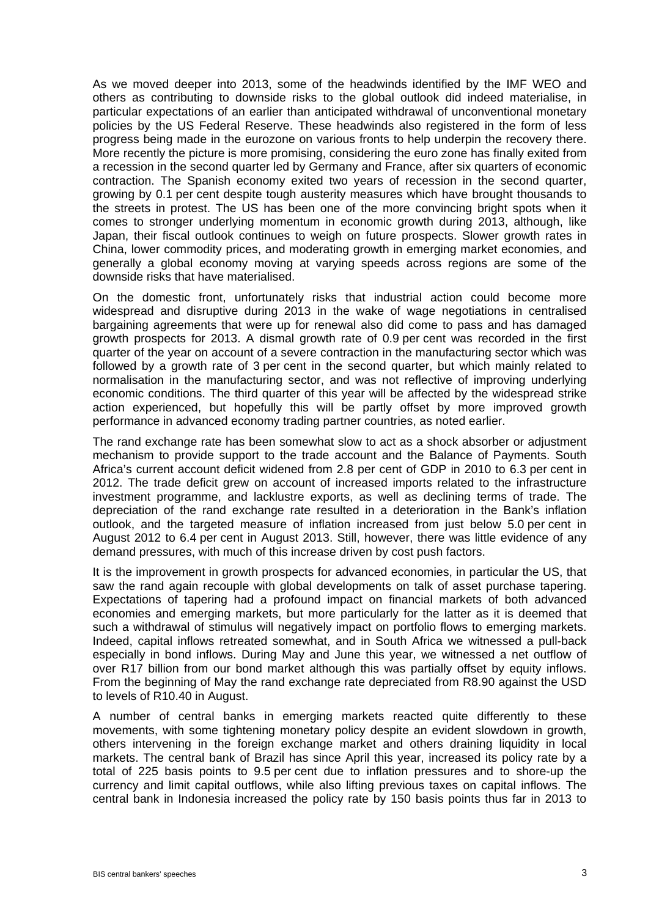As we moved deeper into 2013, some of the headwinds identified by the IMF WEO and others as contributing to downside risks to the global outlook did indeed materialise, in particular expectations of an earlier than anticipated withdrawal of unconventional monetary policies by the US Federal Reserve. These headwinds also registered in the form of less progress being made in the eurozone on various fronts to help underpin the recovery there. More recently the picture is more promising, considering the euro zone has finally exited from a recession in the second quarter led by Germany and France, after six quarters of economic contraction. The Spanish economy exited two years of recession in the second quarter, growing by 0.1 per cent despite tough austerity measures which have brought thousands to the streets in protest. The US has been one of the more convincing bright spots when it comes to stronger underlying momentum in economic growth during 2013, although, like Japan, their fiscal outlook continues to weigh on future prospects. Slower growth rates in China, lower commodity prices, and moderating growth in emerging market economies, and generally a global economy moving at varying speeds across regions are some of the downside risks that have materialised.

On the domestic front, unfortunately risks that industrial action could become more widespread and disruptive during 2013 in the wake of wage negotiations in centralised bargaining agreements that were up for renewal also did come to pass and has damaged growth prospects for 2013. A dismal growth rate of 0.9 per cent was recorded in the first quarter of the year on account of a severe contraction in the manufacturing sector which was followed by a growth rate of 3 per cent in the second quarter, but which mainly related to normalisation in the manufacturing sector, and was not reflective of improving underlying economic conditions. The third quarter of this year will be affected by the widespread strike action experienced, but hopefully this will be partly offset by more improved growth performance in advanced economy trading partner countries, as noted earlier.

The rand exchange rate has been somewhat slow to act as a shock absorber or adjustment mechanism to provide support to the trade account and the Balance of Payments. South Africa's current account deficit widened from 2.8 per cent of GDP in 2010 to 6.3 per cent in 2012. The trade deficit grew on account of increased imports related to the infrastructure investment programme, and lacklustre exports, as well as declining terms of trade. The depreciation of the rand exchange rate resulted in a deterioration in the Bank's inflation outlook, and the targeted measure of inflation increased from just below 5.0 per cent in August 2012 to 6.4 per cent in August 2013. Still, however, there was little evidence of any demand pressures, with much of this increase driven by cost push factors.

It is the improvement in growth prospects for advanced economies, in particular the US, that saw the rand again recouple with global developments on talk of asset purchase tapering. Expectations of tapering had a profound impact on financial markets of both advanced economies and emerging markets, but more particularly for the latter as it is deemed that such a withdrawal of stimulus will negatively impact on portfolio flows to emerging markets. Indeed, capital inflows retreated somewhat, and in South Africa we witnessed a pull-back especially in bond inflows. During May and June this year, we witnessed a net outflow of over R17 billion from our bond market although this was partially offset by equity inflows. From the beginning of May the rand exchange rate depreciated from R8.90 against the USD to levels of R10.40 in August.

A number of central banks in emerging markets reacted quite differently to these movements, with some tightening monetary policy despite an evident slowdown in growth, others intervening in the foreign exchange market and others draining liquidity in local markets. The central bank of Brazil has since April this year, increased its policy rate by a total of 225 basis points to 9.5 per cent due to inflation pressures and to shore-up the currency and limit capital outflows, while also lifting previous taxes on capital inflows. The central bank in Indonesia increased the policy rate by 150 basis points thus far in 2013 to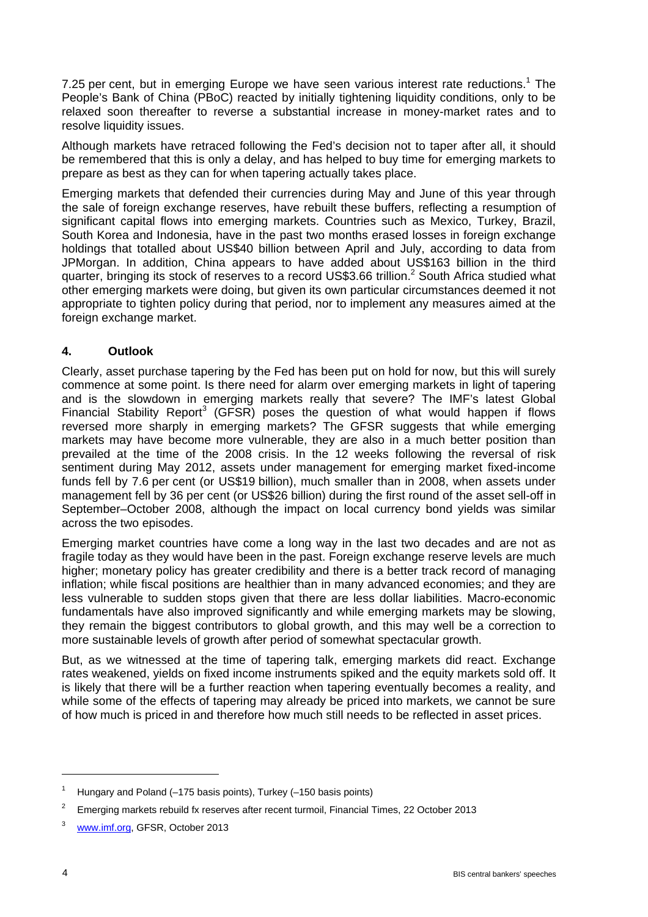7.25 per cent, but in emerging Europe we have seen various interest rate reductions.<sup>1</sup> The People's Bank of China (PBoC) reacted by initially tightening liquidity conditions, only to be relaxed soon thereafter to reverse a substantial increase in money-market rates and to resolve liquidity issues.

Although markets have retraced following the Fed's decision not to taper after all, it should be remembered that this is only a delay, and has helped to buy time for emerging markets to prepare as best as they can for when tapering actually takes place.

Emerging markets that defended their currencies during May and June of this year through the sale of foreign exchange reserves, have rebuilt these buffers, reflecting a resumption of significant capital flows into emerging markets. Countries such as Mexico, Turkey, Brazil, South Korea and Indonesia, have in the past two months erased losses in foreign exchange holdings that totalled about US\$40 billion between April and July, according to data from JPMorgan. In addition, China appears to have added about US\$163 billion in the third quarter, bringing its stock of reserves to a record US\$3.66 trillion.<sup>2</sup> South Africa studied what other emerging markets were doing, but given its own particular circumstances deemed it not appropriate to tighten policy during that period, nor to implement any measures aimed at the foreign exchange market.

### **4. Outlook**

Clearly, asset purchase tapering by the Fed has been put on hold for now, but this will surely commence at some point. Is there need for alarm over emerging markets in light of tapering and is the slowdown in emerging markets really that severe? The IMF's latest Global Financial Stability Report<sup>3</sup> (GFSR) poses the question of what would happen if flows reversed more sharply in emerging markets? The GFSR suggests that while emerging markets may have become more vulnerable, they are also in a much better position than prevailed at the time of the 2008 crisis. In the 12 weeks following the reversal of risk sentiment during May 2012, assets under management for emerging market fixed-income funds fell by 7.6 per cent (or US\$19 billion), much smaller than in 2008, when assets under management fell by 36 per cent (or US\$26 billion) during the first round of the asset sell-off in September–October 2008, although the impact on local currency bond yields was similar across the two episodes.

Emerging market countries have come a long way in the last two decades and are not as fragile today as they would have been in the past. Foreign exchange reserve levels are much higher; monetary policy has greater credibility and there is a better track record of managing inflation; while fiscal positions are healthier than in many advanced economies; and they are less vulnerable to sudden stops given that there are less dollar liabilities. Macro-economic fundamentals have also improved significantly and while emerging markets may be slowing, they remain the biggest contributors to global growth, and this may well be a correction to more sustainable levels of growth after period of somewhat spectacular growth.

But, as we witnessed at the time of tapering talk, emerging markets did react. Exchange rates weakened, yields on fixed income instruments spiked and the equity markets sold off. It is likely that there will be a further reaction when tapering eventually becomes a reality, and while some of the effects of tapering may already be priced into markets, we cannot be sure of how much is priced in and therefore how much still needs to be reflected in asset prices.

<sup>1</sup> Hungary and Poland (–175 basis points), Turkey (–150 basis points)

<sup>2</sup> Emerging markets rebuild fx reserves after recent turmoil, Financial Times, 22 October 2013

www.imf.org, GFSR, October 2013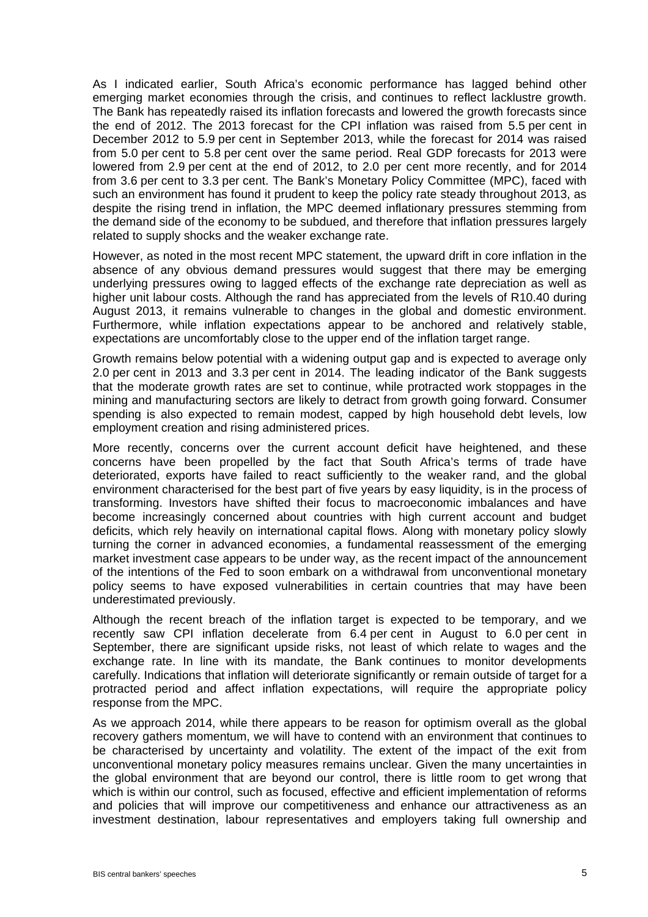As I indicated earlier, South Africa's economic performance has lagged behind other emerging market economies through the crisis, and continues to reflect lacklustre growth. The Bank has repeatedly raised its inflation forecasts and lowered the growth forecasts since the end of 2012. The 2013 forecast for the CPI inflation was raised from 5.5 per cent in December 2012 to 5.9 per cent in September 2013, while the forecast for 2014 was raised from 5.0 per cent to 5.8 per cent over the same period. Real GDP forecasts for 2013 were lowered from 2.9 per cent at the end of 2012, to 2.0 per cent more recently, and for 2014 from 3.6 per cent to 3.3 per cent. The Bank's Monetary Policy Committee (MPC), faced with such an environment has found it prudent to keep the policy rate steady throughout 2013, as despite the rising trend in inflation, the MPC deemed inflationary pressures stemming from the demand side of the economy to be subdued, and therefore that inflation pressures largely related to supply shocks and the weaker exchange rate.

However, as noted in the most recent MPC statement, the upward drift in core inflation in the absence of any obvious demand pressures would suggest that there may be emerging underlying pressures owing to lagged effects of the exchange rate depreciation as well as higher unit labour costs. Although the rand has appreciated from the levels of R10.40 during August 2013, it remains vulnerable to changes in the global and domestic environment. Furthermore, while inflation expectations appear to be anchored and relatively stable, expectations are uncomfortably close to the upper end of the inflation target range.

Growth remains below potential with a widening output gap and is expected to average only 2.0 per cent in 2013 and 3.3 per cent in 2014. The leading indicator of the Bank suggests that the moderate growth rates are set to continue, while protracted work stoppages in the mining and manufacturing sectors are likely to detract from growth going forward. Consumer spending is also expected to remain modest, capped by high household debt levels, low employment creation and rising administered prices.

More recently, concerns over the current account deficit have heightened, and these concerns have been propelled by the fact that South Africa's terms of trade have deteriorated, exports have failed to react sufficiently to the weaker rand, and the global environment characterised for the best part of five years by easy liquidity, is in the process of transforming. Investors have shifted their focus to macroeconomic imbalances and have become increasingly concerned about countries with high current account and budget deficits, which rely heavily on international capital flows. Along with monetary policy slowly turning the corner in advanced economies, a fundamental reassessment of the emerging market investment case appears to be under way, as the recent impact of the announcement of the intentions of the Fed to soon embark on a withdrawal from unconventional monetary policy seems to have exposed vulnerabilities in certain countries that may have been underestimated previously.

Although the recent breach of the inflation target is expected to be temporary, and we recently saw CPI inflation decelerate from 6.4 per cent in August to 6.0 per cent in September, there are significant upside risks, not least of which relate to wages and the exchange rate. In line with its mandate, the Bank continues to monitor developments carefully. Indications that inflation will deteriorate significantly or remain outside of target for a protracted period and affect inflation expectations, will require the appropriate policy response from the MPC.

As we approach 2014, while there appears to be reason for optimism overall as the global recovery gathers momentum, we will have to contend with an environment that continues to be characterised by uncertainty and volatility. The extent of the impact of the exit from unconventional monetary policy measures remains unclear. Given the many uncertainties in the global environment that are beyond our control, there is little room to get wrong that which is within our control, such as focused, effective and efficient implementation of reforms and policies that will improve our competitiveness and enhance our attractiveness as an investment destination, labour representatives and employers taking full ownership and